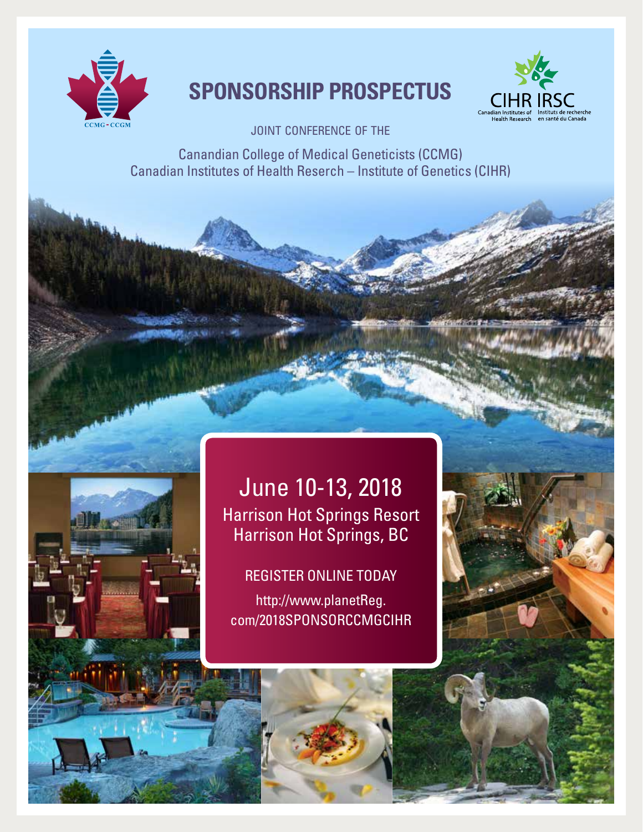

# **Sponsorship Prospectus**



JOINT CONFERENCE OF THE

Canandian College of Medical Geneticists (CCMG) Canadian Institutes of Health Reserch – Institute of Genetics (CIHR)

# June 10-13, 2018 Harrison Hot Springs Resort Harrison Hot Springs, BC

## REGISTER ONLINE TODAY

http://www.planetReg. com/2018SPONSORCCMGCIHR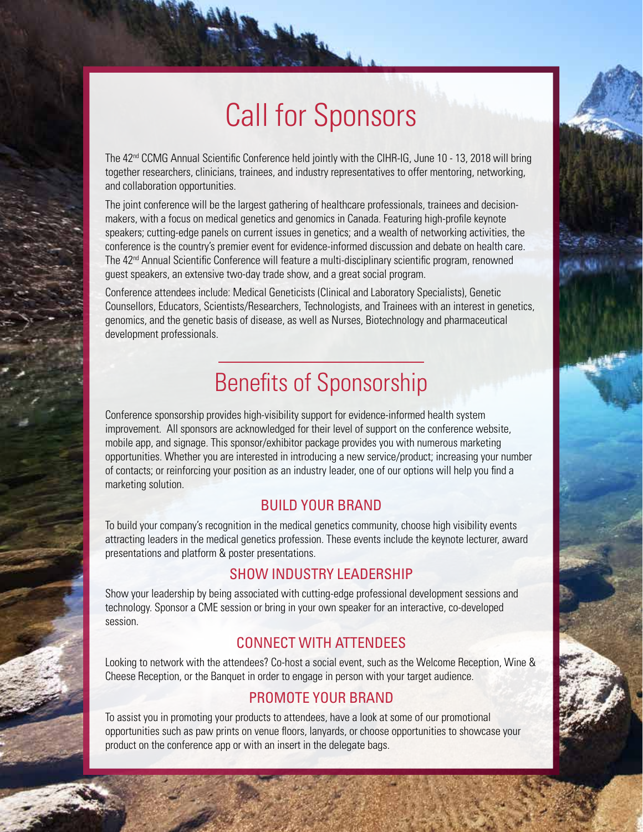# Call for Sponsors

The 42<sup>nd</sup> CCMG Annual Scientific Conference held jointly with the CIHR-IG, June 10 - 13, 2018 will bring together researchers, clinicians, trainees, and industry representatives to offer mentoring, networking, and collaboration opportunities.

The joint conference will be the largest gathering of healthcare professionals, trainees and decisionmakers, with a focus on medical genetics and genomics in Canada. Featuring high-profile keynote speakers; cutting-edge panels on current issues in genetics; and a wealth of networking activities, the conference is the country's premier event for evidence-informed discussion and debate on health care. The 42<sup>nd</sup> Annual Scientific Conference will feature a multi-disciplinary scientific program, renowned guest speakers, an extensive two-day trade show, and a great social program.

Conference attendees include: Medical Geneticists (Clinical and Laboratory Specialists), Genetic Counsellors, Educators, Scientists/Researchers, Technologists, and Trainees with an interest in genetics, genomics, and the genetic basis of disease, as well as Nurses, Biotechnology and pharmaceutical development professionals.

# Benefits of Sponsorship

Conference sponsorship provides high-visibility support for evidence-informed health system improvement. All sponsors are acknowledged for their level of support on the conference website, mobile app, and signage. This sponsor/exhibitor package provides you with numerous marketing opportunities. Whether you are interested in introducing a new service/product; increasing your number of contacts; or reinforcing your position as an industry leader, one of our options will help you find a marketing solution.

#### BUILD YOUR BRAND

To build your company's recognition in the medical genetics community, choose high visibility events attracting leaders in the medical genetics profession. These events include the keynote lecturer, award presentations and platform & poster presentations.

#### SHOW INDUSTRY LEADERSHIP

Show your leadership by being associated with cutting-edge professional development sessions and technology. Sponsor a CME session or bring in your own speaker for an interactive, co-developed session.

## CONNECT WITH ATTENDEES

Looking to network with the attendees? Co-host a social event, such as the Welcome Reception, Wine & Cheese Reception, or the Banquet in order to engage in person with your target audience.

### PROMOTE YOUR BRAND

To assist you in promoting your products to attendees, have a look at some of our promotional opportunities such as paw prints on venue floors, lanyards, or choose opportunities to showcase your product on the conference app or with an insert in the delegate bags.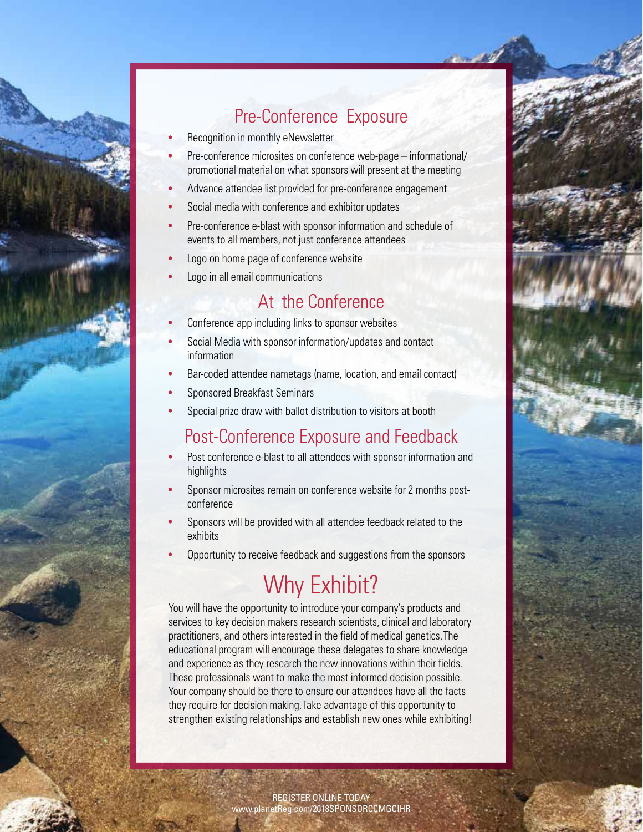

# Pre-Conference Exposure

- Recognition in monthly eNewsletter
- Pre-conference microsites on conference web-page informational/ promotional material on what sponsors will present at the meeting
- Advance attendee list provided for pre-conference engagement
- Social media with conference and exhibitor updates
- Pre-conference e-blast with sponsor information and schedule of events to all members, not just conference attendees
- Logo on home page of conference website
- Logo in all email communications

## At the Conference

- Conference app including links to sponsor websites
- Social Media with sponsor information/updates and contact information
- Bar-coded attendee nametags (name, location, and email contact)
- Sponsored Breakfast Seminars
- Special prize draw with ballot distribution to visitors at booth

# Post-Conference Exposure and Feedback

- Post conference e-blast to all attendees with sponsor information and highlights
- Sponsor microsites remain on conference website for 2 months postconference
- Sponsors will be provided with all attendee feedback related to the exhibits
- Opportunity to receive feedback and suggestions from the sponsors

# Why Exhibit?

You will have the opportunity to introduce your company's products and services to key decision makers research scientists, clinical and laboratory practitioners, and others interested in the field of medical genetics. The educational program will encourage these delegates to share knowledge and experience as they research the new innovations within their fields. These professionals want to make the most informed decision possible. Your company should be there to ensure our attendees have all the facts they require for decision making. Take advantage of this opportunity to strengthen existing relationships and establish new ones while exhibiting!

> REGISTER ONLINE TODAY www.planetReg.com/2018SPONSORCCMGCIHR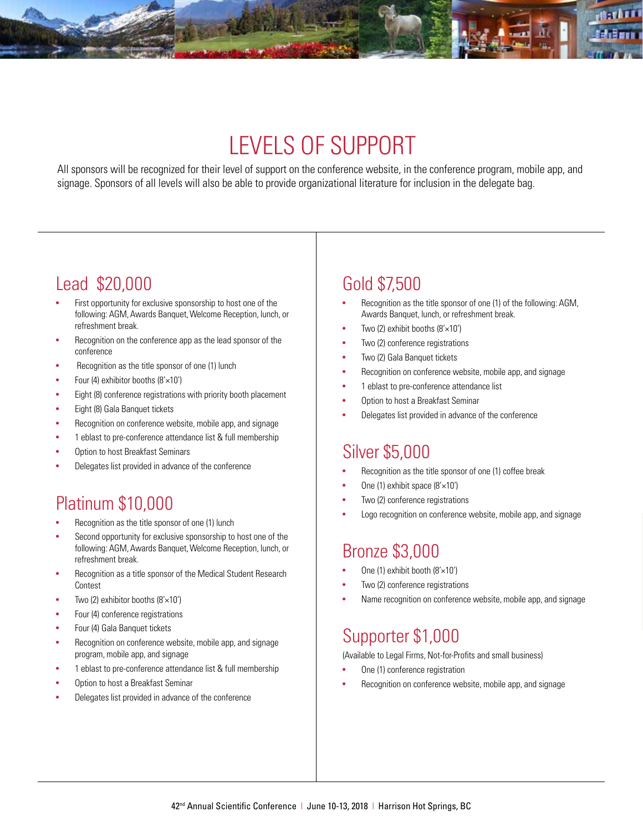# LEVELS OF SUPPORT

All sponsors will be recognized for their level of support on the conference website, in the conference program, mobile app, and signage. Sponsors of all levels will also be able to provide organizational literature for inclusion in the delegate bag.

# Lead \$20,000

- First opportunity for exclusive sponsorship to host one of the following: AGM, Awards Banquet, Welcome Reception, lunch, or refreshment break.
- Recognition on the conference app as the lead sponsor of the conference
- Recognition as the title sponsor of one (1) lunch
- Four (4) exhibitor booths  $(8' \times 10')$
- Eight (8) conference registrations with priority booth placement
- Eight (8) Gala Banquet tickets
- Recognition on conference website, mobile app, and signage
- 1 eblast to pre-conference attendance list & full membership
- Option to host Breakfast Seminars
- Delegates list provided in advance of the conference

# Platinum \$10,000

- Recognition as the title sponsor of one (1) lunch
- Second opportunity for exclusive sponsorship to host one of the following: AGM, Awards Banquet, Welcome Reception, lunch, or refreshment break.
- Recognition as a title sponsor of the Medical Student Research Contest
- Two (2) exhibitor booths  $(8' \times 10')$
- Four (4) conference registrations
- Four (4) Gala Banquet tickets
- Recognition on conference website, mobile app, and signage program, mobile app, and signage
- 1 eblast to pre-conference attendance list & full membership
- Option to host a Breakfast Seminar
- Delegates list provided in advance of the conference

# Gold \$7,500

- Recognition as the title sponsor of one (1) of the following: AGM, Awards Banquet, lunch, or refreshment break.
- Two (2) exhibit booths  $(8' \times 10')$
- Two (2) conference registrations
- Two (2) Gala Banquet tickets
- Recognition on conference website, mobile app, and signage
- 1 eblast to pre-conference attendance list
- Option to host a Breakfast Seminar
- Delegates list provided in advance of the conference

## Silver \$5,000

- Recognition as the title sponsor of one (1) coffee break
- One (1) exhibit space (8'×10')
- Two (2) conference registrations
- Logo recognition on conference website, mobile app, and signage

## Bronze \$3,000

- One (1) exhibit booth (8'×10')
- Two (2) conference registrations
- Name recognition on conference website, mobile app, and signage

## Supporter \$1,000

(Available to Legal Firms, Not-for-Profits and small business)

- One (1) conference registration
- Recognition on conference website, mobile app, and signage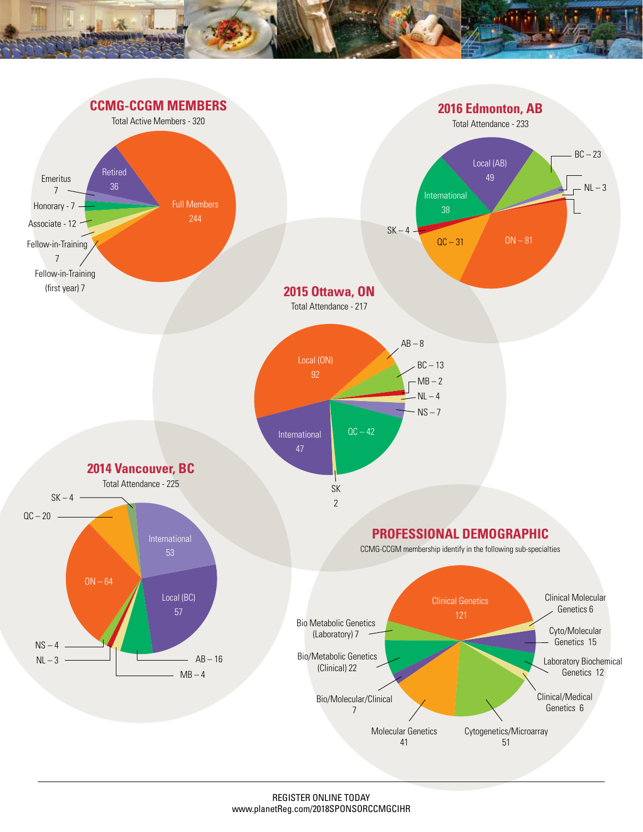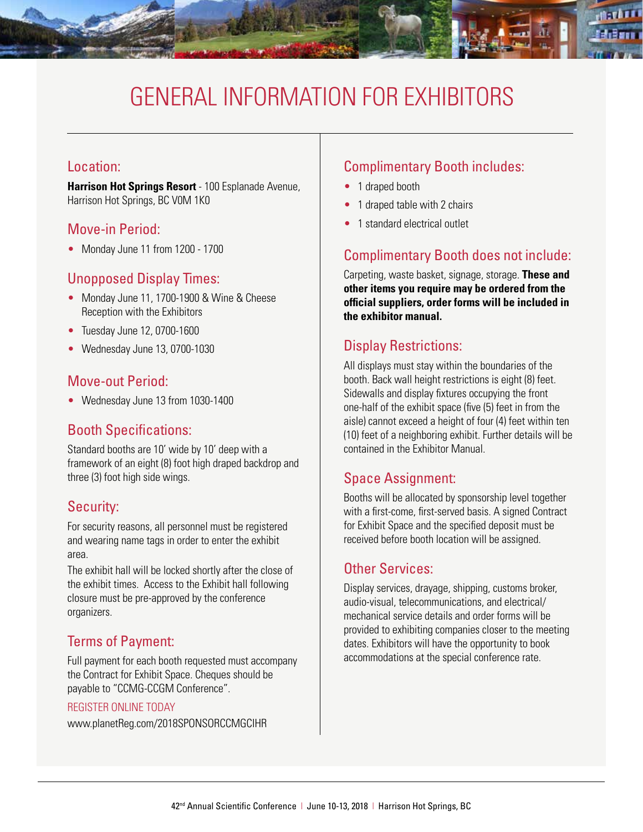# General Information for Exhibitors

#### Location:

**Harrison Hot Springs Resort** - 100 Esplanade Avenue, Harrison Hot Springs, BC V0M 1K0

#### Move-in Period:

• Monday June 11 from 1200 - 1700

#### Unopposed Display Times:

- Monday June 11, 1700-1900 & Wine & Cheese Reception with the Exhibitors
- Tuesday June 12, 0700-1600
- Wednesday June 13, 0700-1030

### Move-out Period:

• Wednesday June 13 from 1030-1400

### Booth Specifications:

Standard booths are 10' wide by 10' deep with a framework of an eight (8) foot high draped backdrop and three (3) foot high side wings.

#### Security:

For security reasons, all personnel must be registered and wearing name tags in order to enter the exhibit area.

The exhibit hall will be locked shortly after the close of the exhibit times. Access to the Exhibit hall following closure must be pre-approved by the conference organizers.

### Terms of Payment:

Full payment for each booth requested must accompany the Contract for Exhibit Space. Cheques should be payable to "CCMG-CCGM Conference".

#### REGISTER ONLINE TODAY

www.planetReg.com/2018SPONSORCCMGCIHR

## Complimentary Booth includes:

- 1 draped booth
- 1 draped table with 2 chairs
- 1 standard electrical outlet

### Complimentary Booth does not include:

Carpeting, waste basket, signage, storage. **These and other items you require may be ordered from the official suppliers, order forms will be included in the exhibitor manual.**

### Display Restrictions:

All displays must stay within the boundaries of the booth. Back wall height restrictions is eight (8) feet. Sidewalls and display fixtures occupying the front one-half of the exhibit space (five (5) feet in from the aisle) cannot exceed a height of four (4) feet within ten (10) feet of a neighboring exhibit. Further details will be contained in the Exhibitor Manual.

### Space Assignment:

Booths will be allocated by sponsorship level together with a first-come, first-served basis. A signed Contract for Exhibit Space and the specified deposit must be received before booth location will be assigned.

#### Other Services:

Display services, drayage, shipping, customs broker, audio-visual, telecommunications, and electrical/ mechanical service details and order forms will be provided to exhibiting companies closer to the meeting dates. Exhibitors will have the opportunity to book accommodations at the special conference rate.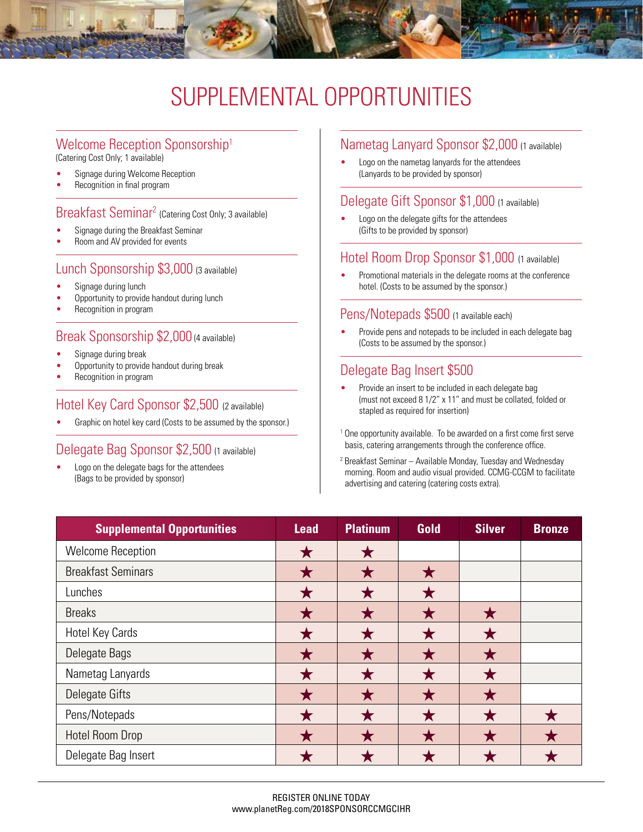# SUPPLEMENTAL OPPORTUNITIES

# Welcome Reception Sponsorship<sup>1</sup><br>(Catering Cost Only; 1 available)

- Signage during Welcome Reception
- Recognition in final program

#### Breakfast Seminar2 (Catering Cost Only; 3 available)

- Signage during the Breakfast Seminar
- Room and AV provided for events

#### Lunch Sponsorship \$3,000 (3 available)

- Signage during lunch
- Opportunity to provide handout during lunch
- Recognition in program

#### Break Sponsorship \$2,000 (4 available)

- Signage during break
- Opportunity to provide handout during break
- Recognition in program

#### Hotel Key Card Sponsor \$2,500 (2 available)

Graphic on hotel key card (Costs to be assumed by the sponsor.)

#### Delegate Bag Sponsor \$2,500 (1 available)

Logo on the delegate bags for the attendees (Bags to be provided by sponsor)

#### Nametag Lanyard Sponsor \$2,000 (1 available)

Logo on the nametag lanyards for the attendees (Lanyards to be provided by sponsor)

#### Delegate Gift Sponsor \$1,000 (1 available)

Logo on the delegate gifts for the attendees (Gifts to be provided by sponsor)

#### Hotel Room Drop Sponsor \$1,000 (1 available)

Promotional materials in the delegate rooms at the conference hotel. (Costs to be assumed by the sponsor.)

#### Pens/Notepads \$500 (1 available each)

Provide pens and notepads to be included in each delegate bag (Costs to be assumed by the sponsor.)

#### Delegate Bag Insert \$500

- Provide an insert to be included in each delegate bag (must not exceed 8 1/2" x 11" and must be collated, folded or stapled as required for insertion)
- <sup>1</sup> One opportunity available. To be awarded on a first come first serve basis, catering arrangements through the conference office.
- 2 Breakfast Seminar Available Monday, Tuesday and Wednesday morning. Room and audio visual provided. CCMG-CCGM to facilitate advertising and catering (catering costs extra).

| <b>Supplemental Opportunities</b> | Lead | <b>Platinum</b> | Gold | <b>Silver</b> | <b>Bronze</b> |
|-----------------------------------|------|-----------------|------|---------------|---------------|
| <b>Welcome Reception</b>          |      |                 |      |               |               |
| <b>Breakfast Seminars</b>         |      |                 |      |               |               |
| Lunches                           |      |                 |      |               |               |
| <b>Breaks</b>                     |      |                 |      |               |               |
| Hotel Key Cards                   |      |                 |      |               |               |
| Delegate Bags                     |      |                 |      |               |               |
| Nametag Lanyards                  |      |                 |      |               |               |
| Delegate Gifts                    |      |                 |      |               |               |
| Pens/Notepads                     |      |                 |      |               |               |
| <b>Hotel Room Drop</b>            |      |                 |      |               |               |
| Delegate Bag Insert               |      |                 |      |               |               |